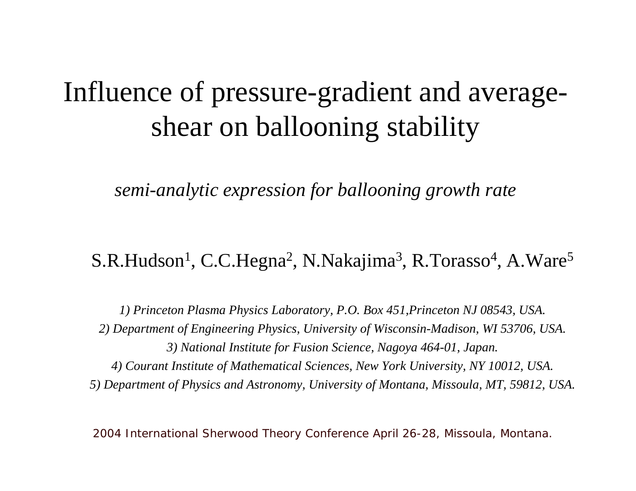# Influence of pressure-gradient and averageshear on ballooning stability

*semi-analytic expression for ballooning growth rate*

### S.R.Hudson<sup>1</sup>, C.C.Hegna<sup>2</sup>, N.Nakajima<sup>3</sup>, R.Torasso<sup>4</sup>, A.Ware<sup>5</sup>

*1) Princeton Plasma Physics Laboratory, P.O. Box 451,Princeton NJ 08543, USA. 2) Department of Engineering P hysics, University of Wisconsin-Madison, WI 53706, USA. 3) National Institute for Fusion Science, Nagoya 464-01, Japan. 4) C ourant Institute of Mathematical Sciences, New York University, NY 10012, USA. 5) Department of Physics and Astronomy, University of Montana, Missoula, MT, 59812, USA.*

2004 International Sherwood Theory Conference April 26-28, Missoula, Montana.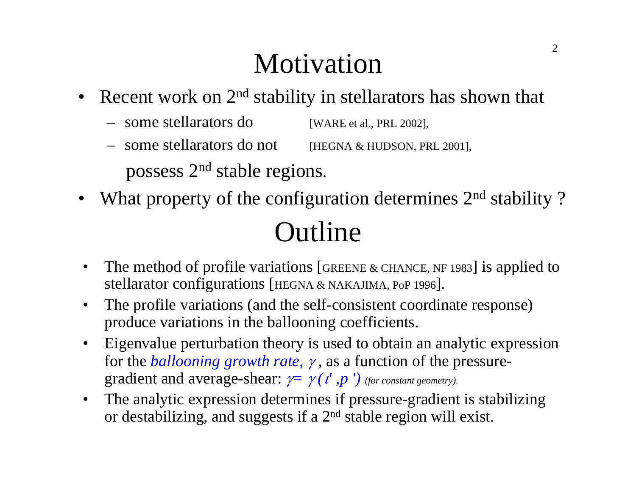# Motivation

- Recent work on 2<sup>nd</sup> stability in stellarators has shown that
	- some stellarators do [WARE et al., PRL 2002],
	- some stellarators do not [HEGNA & HUDSON, PRL 2001],

possess 2n<sup>d</sup> stable regions.

 $\bullet$ What property of the configuration determines 2<sup>nd</sup> stability?

# Outline

- • The method of profile variations [GREENE & CHANCE, NF 1983] is applied to stellarator configurations [HEGNA & NAKAJIMA, PoP 1996].
- $\bullet$  The profile variations (and the self-consistent coordinate response) produce variations in the ballooning coefficients.
- $\bullet$  Eigenvalue perturbation theory is used to obtain an analytic expression for the *ballooning growth rate,* γ *,* as a function of the pressuregradient and average-shear:  $\nu = \gamma(\iota', p')$  (for constant geometry).
- $\bullet$  The analytic expression determines if pressure-gradient is stabilizing or destabilizing, and suggests if a 2nd stable region will exist.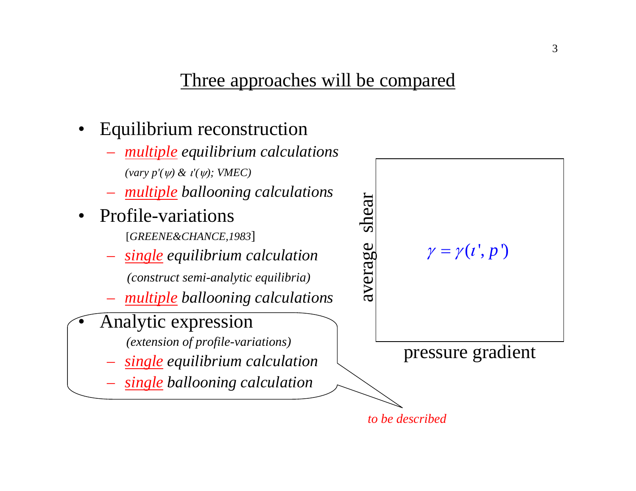### Three approaches will be compared

- •Equilibrium reconstruction
- *multiple equilibrium calculations (va ry p'(*ψ*) &*  <sup>ι</sup>*'(*ψ*); VMEC)* – *multiple ballooning calculations* average shear shear Profile-variations  $\bullet$ [*GREENE&CHANCE,1983*] average – *single equilibrium calculation (construct semi-analytic equilibria) multiple ballooning calculations* Analytic expression •
	- *(extension of profile-variations)*
	- *single equilibrium calculation*
	- *single ballooning calculation*

*to be described*



pressure gradient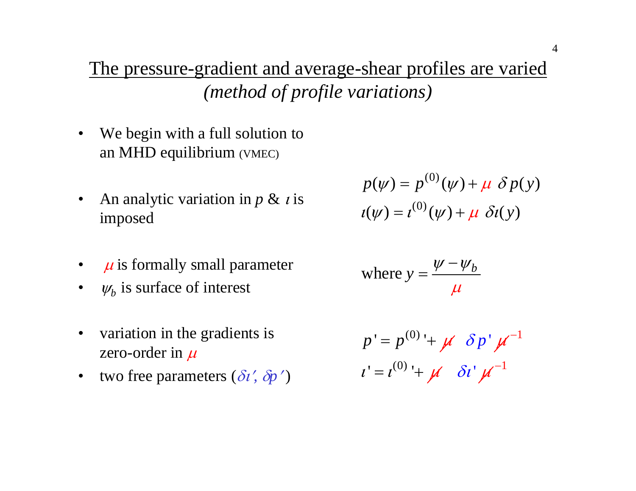The pressure-gradient and average-shear profiles are varied *(method of profile variations)*

- •We begin with a full solution to an MHD equilibrium (VMEC)
- $\bullet$ An analytic variation in *p & i* is imposed
- $\bullet$  $\mu$  is formally small parameter
- $\bullet$  $\psi_b$  is surface of interest
- •variation in the gradients is zero-order in  $\mu$
- •two free parameters (δι′*,*  δ*p* ′ $\left( \frac{1}{2} \right)$

$$
p(\psi) = p^{(0)}(\psi) + \mu \delta p(y)
$$

$$
t(\psi) = t^{(0)}(\psi) + \mu \delta t(y)
$$

where 
$$
y = \frac{\psi - \psi_b}{\mu}
$$

$$
p' = p^{(0)} + \mu \delta p' \mu^{-1}
$$
  

$$
i' = i^{(0)} + \mu \delta i' \mu^{-1}
$$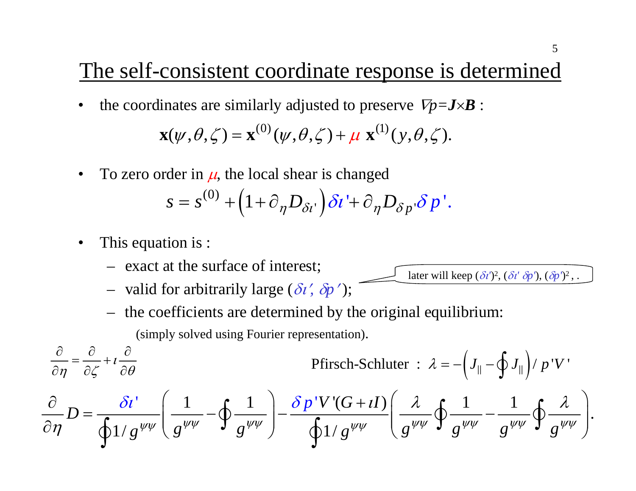## The self-consistent coordinate response is determined

- •the coordinates are similarly adjusted to preserve  $\nabla p = \bm{J}{\times}\bm{B}$  :  $\mathbf{x}(\psi,\theta,\zeta) = \mathbf{x}^{(0)}(\psi,\theta,\zeta) + \mu \mathbf{x}^{(1)}(\mathbf{y},\theta,\zeta).$
- •To zero order in  $\mu$ , the local shear is changed

$$
s = s^{(0)} + (1 + \partial_{\eta} D_{\delta i'}) \delta i' + \partial_{\eta} D_{\delta p'} \delta p'.
$$

- •This equation is :
	- exact at the surface of interest;
	- valid for arbitrarily large (δι′*,*  δ*p* ′ );
	- the coefficients are determined by the original equilibrium:

(simply solved using Fourier representation).

$$
\frac{\partial}{\partial \eta} = \frac{\partial}{\partial \zeta} + i \frac{\partial}{\partial \theta}
$$

Pfirstch-Schluter : 
$$
\lambda = -\left(J_{\parallel} - \oint J_{\parallel}\right) / p'V'
$$

later will keep (δι*'*)2, (δι*'* δ*p'*), ( δ*p'*)2 , .

$$
\frac{\partial}{\partial \eta}D = \frac{\delta \iota^{\prime}}{\oint 1/g^{\psi\psi}} \left( \frac{1}{g^{\psi\psi}} - \oint \frac{1}{g^{\psi\psi}} \right) - \frac{\delta p^{\prime}V^{\prime}(G+I)}{\oint 1/g^{\psi\psi}} \left( \frac{\lambda}{g^{\psi\psi}} \oint \frac{1}{g^{\psi\psi}} - \frac{1}{g^{\psi\psi}} \oint \frac{\lambda}{g^{\psi\psi}} \right).
$$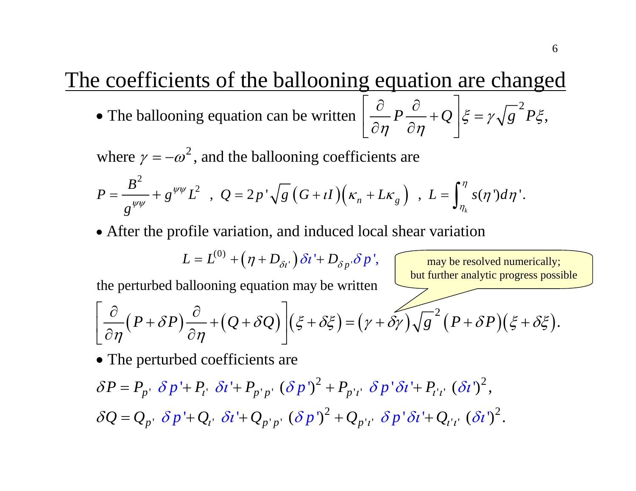#### The coefficients of the ballooning equation are changed The ballooning equation can be written  $\left| \frac{\partial}{\partial P} P \frac{\partial}{\partial P} + Q \right| \xi = \gamma \sqrt{g}^2 P \xi$ ,  $\eta$   $\partial \eta$  $\begin{bmatrix} \partial & \partial & \overline{\partial} & \overline{\partial} & \overline{\partial} & \overline{\partial} & \overline{\partial} & \overline{\partial} & \overline{\partial} & \overline{\partial} & \overline{\partial} & \overline{\partial} & \overline{\partial} & \overline{\partial} & \overline{\partial} & \overline{\partial} & \overline{\partial} & \overline{\partial} & \overline{\partial} & \overline{\partial} & \overline{\partial} & \overline{\partial} & \overline{\partial} & \overline{\partial} & \overline{\partial} & \overline{\partial} & \overline{\partial} & \overline{\partial} & \overline{\partial} & \overline{\partial} & \overline{\partial} & \overline{\partial$ • The ballooning equation can be written  $\left[\frac{\partial}{\partial \eta}P\frac{\partial}{\partial \eta}+Q\right]\xi=$

where  $\gamma = -\omega^2$ , and the ballooning coefficients are

$$
P = \frac{B^2}{g^{\psi\psi}} + g^{\psi\psi}L^2 \quad , \ \ Q = 2p^{\prime}\sqrt{g} \left(G + \iota I\right)\left(\kappa_n + L\kappa_g\right) \ \ , \ \ L = \int_{\eta_k}^{\eta} s(\eta^{\prime}) d\eta^{\prime}.
$$

• After the profile variation, and induced local shear variation

$$
L = L^{(0)} + (\eta + D_{\delta t}) \delta t' + D_{\delta p} \delta p',
$$

may b e resolved numerically; but further analytic progress possible

the perturbed ballooning equation may be written

$$
\left[\frac{\partial}{\partial \eta}\left(P+\delta P\right)\frac{\partial}{\partial \eta}+\left(Q+\delta Q\right)\right](\xi+\delta\xi)=(\gamma+\delta\gamma)\sqrt{g}^{2}\left(P+\delta P\right)(\xi+\delta\xi).
$$

• The perturbed coefficients are

$$
\delta P = P_{p'} \delta p' + P_{i'} \delta i' + P_{p'p'} (\delta p')^{2} + P_{p'i'} \delta p' \delta i' + P_{i'i'} (\delta i')^{2},
$$
  

$$
\delta Q = Q_{p'} \delta p' + Q_{i'} \delta i' + Q_{p'p'} (\delta p')^{2} + Q_{p'i'} \delta p' \delta i' + Q_{i'i'} (\delta i')^{2}.
$$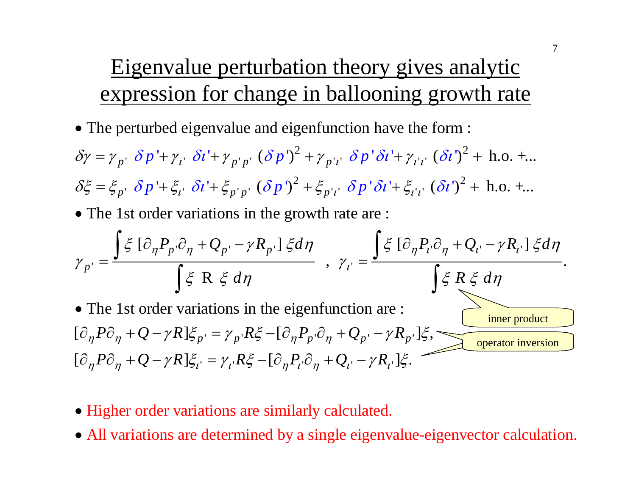## Eigenvalue perturbation theory gives analytic expression for change in ballooning growth rate

- The perturbed eigenvalue and eigenfunction have the form :
- $\delta p' + \gamma_{i'} \delta i' + \gamma_{p'p'} (\delta p')^2 + \gamma_{p'i'} \delta p' \delta i' + \gamma_{i'i'} (\delta i')^2$  $\delta \xi = \xi_{p}$ ,  $\delta p' + \xi_{i}$ ,  $\delta i' + \xi_{p'p}$ ,  $(\delta p')^2 + \xi_{p'i}$ ,  $\delta p' \delta i' + \xi_{i'i}$ ,  $(\delta i')^2 +$  h.o. +...  $\delta \gamma = \gamma_{p'} \delta p' + \gamma_{l'} \delta l' + \gamma_{p'p'} (\delta p')^2 + \gamma_{p'l'} \delta p' \delta l' + \gamma_{l'l'} (\delta l')^2 + \text{ h.o. } + ...$
- The 1st order variations in the growth rate are :

$$
\gamma_{p'} = \frac{\int \xi \left[\partial_{\eta} P_{p'} \partial_{\eta} + Q_{p'} - \gamma R_{p'}\right] \xi d\eta}{\int \xi \left[R \xi d\eta\right]} , \gamma_{i'} = \frac{\int \xi \left[\partial_{\eta} P_{i'} \partial_{\eta} + Q_{i'} - \gamma R_{i'}\right] \xi d\eta}{\int \xi \left[R \xi d\eta\right]}.
$$
\n• The 1st order variations in the eigenfunction are :  
\n
$$
\left[\partial_{\eta} P \partial_{\eta} + Q - \gamma R\right] \xi_{p'} = \gamma_{p'} R \xi - \left[\partial_{\eta} P_{p'} \partial_{\eta} + Q_{p'} - \gamma R_{p'}\right] \xi,
$$
\n
$$
\left[\partial_{\eta} P \partial_{\eta} + Q - \gamma R\right] \xi_{i'} = \gamma_{i'} R \xi - \left[\partial_{\eta} P_{i'} \partial_{\eta} + Q_{i'} - \gamma R_{i'}\right] \xi.
$$

- Higher order variations are similarly calculated.
- All variations are determined by a single eigenvalue-eigenvector calculation.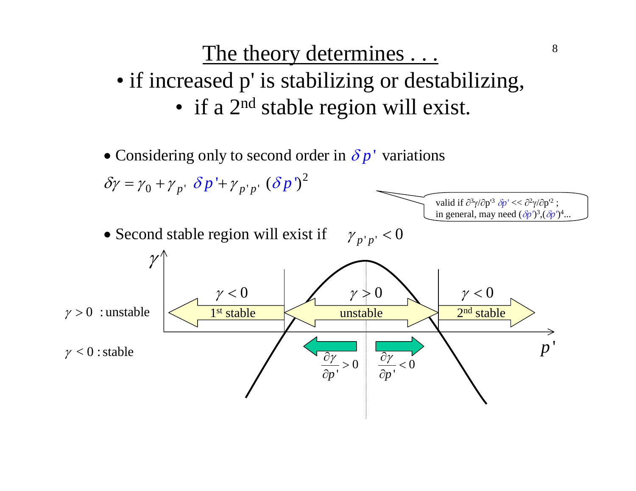# The theory determines . . . • if increased p' is stabilizing or destabilizing, • if a 2<sup>nd</sup> stable region will exist.

8

• Considering only to second order in  $\delta p'$  variations

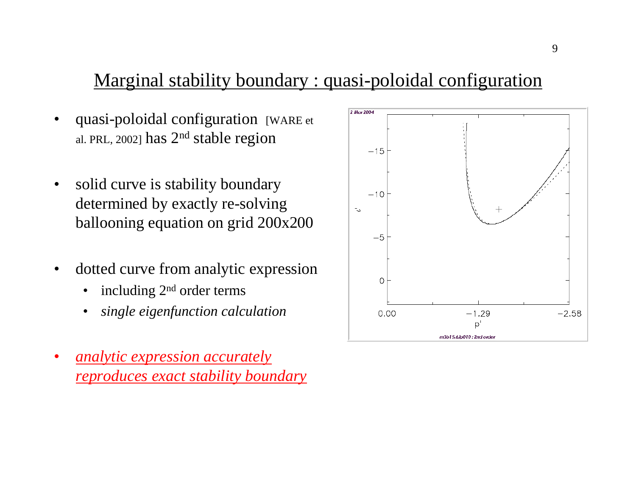### Marginal stability boundary : quasi-poloidal configuration

- •• quasi-poloidal configuration [WARE et] al. PRL, 2002] has  $2<sup>nd</sup>$  stable region
- •solid curve is stability boundary determined by exactly re-solving ballooning equation on grid 200x200
- •dotted curve from analytic expression
	- •including 2nd order terms
	- •*single eigenfunction calculation*
- • *analytic expression accurately reproduces exact stability boundary*

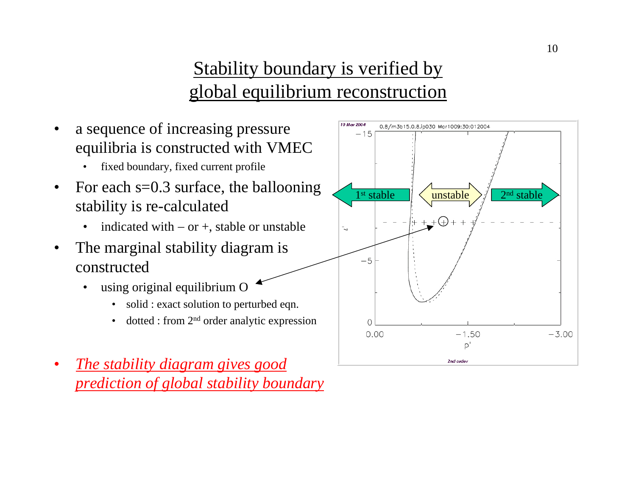### Stability boundary is verified by global equilibrium reconstruction



 *The stability diagram gives good prediction of global stability boundary*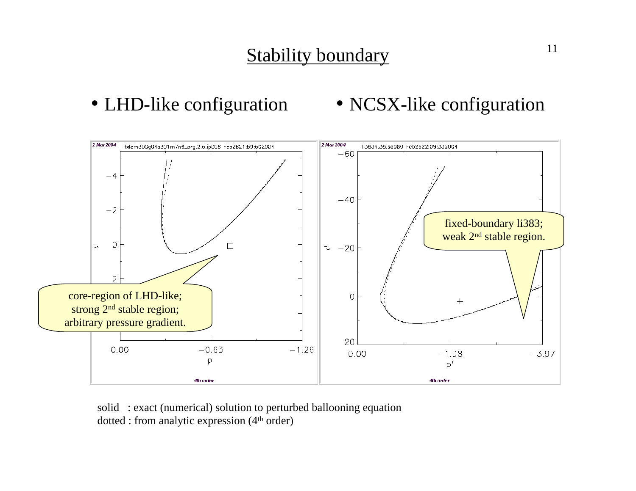

• NCSX-like configuration



solid : exact (numerical) solution to perturbed ballooning equation  $dotted: from analytic expression (4<sup>th</sup> order)$